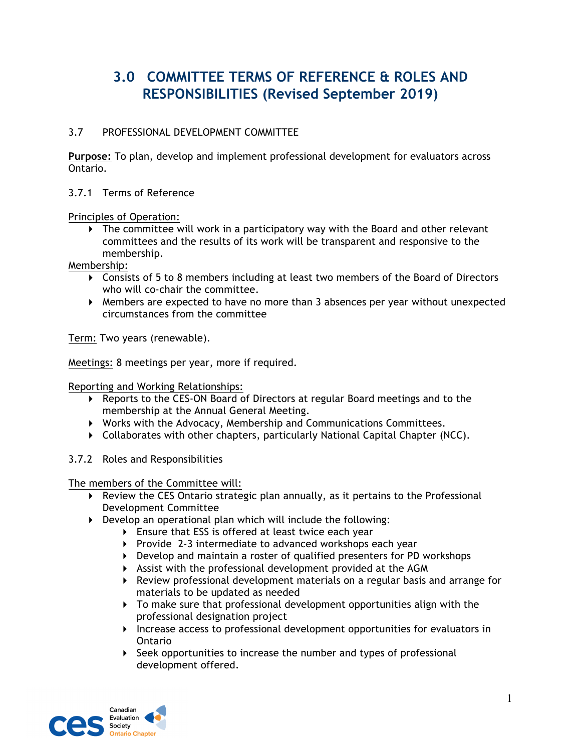## **3.0 COMMITTEE TERMS OF REFERENCE & ROLES AND RESPONSIBILITIES (Revised September 2019)**

## 3.7 PROFESSIONAL DEVELOPMENT COMMITTEE

**Purpose:** To plan, develop and implement professional development for evaluators across Ontario.

3.7.1 Terms of Reference

Principles of Operation:

! The committee will work in a participatory way with the Board and other relevant committees and the results of its work will be transparent and responsive to the membership.

Membership:

- ! Consists of 5 to 8 members including at least two members of the Board of Directors who will co-chair the committee.
- ! Members are expected to have no more than 3 absences per year without unexpected circumstances from the committee

Term: Two years (renewable).

Meetings: 8 meetings per year, more if required.

Reporting and Working Relationships:

- ! Reports to the CES-ON Board of Directors at regular Board meetings and to the membership at the Annual General Meeting.
- ! Works with the Advocacy, Membership and Communications Committees.
- $\triangleright$  Collaborates with other chapters, particularly National Capital Chapter (NCC).
- 3.7.2 Roles and Responsibilities

The members of the Committee will:

- ! Review the CES Ontario strategic plan annually, as it pertains to the Professional Development Committee
- ! Develop an operational plan which will include the following:
	- ! Ensure that ESS is offered at least twice each year
	- ! Provide 2-3 intermediate to advanced workshops each year
	- ! Develop and maintain a roster of qualified presenters for PD workshops
	- ! Assist with the professional development provided at the AGM
	- ! Review professional development materials on a regular basis and arrange for materials to be updated as needed
	- ! To make sure that professional development opportunities align with the professional designation project
	- ! Increase access to professional development opportunities for evaluators in Ontario
	- ! Seek opportunities to increase the number and types of professional development offered.